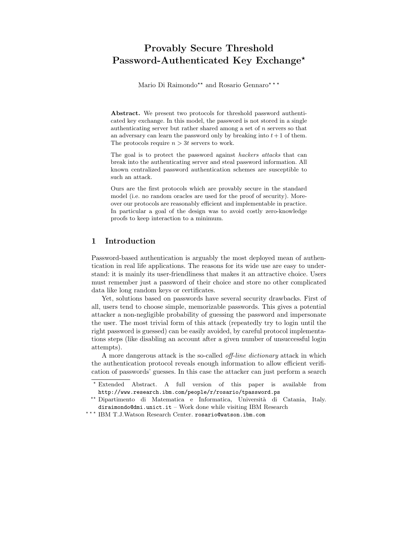# Provably Secure Threshold Password-Authenticated Key Exchange\*

Mario Di Raimondo<sup>\*\*</sup> and Rosario Gennaro<sup>\*\*\*</sup>

Abstract. We present two protocols for threshold password authenticated key exchange. In this model, the password is not stored in a single authenticating server but rather shared among a set of  $n$  servers so that an adversary can learn the password only by breaking into  $t+1$  of them. The protocols require  $n > 3t$  servers to work.

The goal is to protect the password against hackers attacks that can break into the authenticating server and steal password information. All known centralized password authentication schemes are susceptible to such an attack.

Ours are the first protocols which are provably secure in the standard model (i.e. no random oracles are used for the proof of security). Moreover our protocols are reasonably efficient and implementable in practice. In particular a goal of the design was to avoid costly zero-knowledge proofs to keep interaction to a minimum.

## 1 Introduction

Password-based authentication is arguably the most deployed mean of authentication in real life applications. The reasons for its wide use are easy to understand: it is mainly its user-friendliness that makes it an attractive choice. Users must remember just a password of their choice and store no other complicated data like long random keys or certificates.

Yet, solutions based on passwords have several security drawbacks. First of all, users tend to choose simple, memorizable passwords. This gives a potential attacker a non-negligible probability of guessing the password and impersonate the user. The most trivial form of this attack (repeatedly try to login until the right password is guessed) can be easily avoided, by careful protocol implementations steps (like disabling an account after a given number of unsuccessful login attempts).

A more dangerous attack is the so-called off-line dictionary attack in which the authentication protocol reveals enough information to allow efficient verification of passwords' guesses. In this case the attacker can just perform a search

<sup>?</sup> Extended Abstract. A full version of this paper is available from http://www.research.ibm.com/people/r/rosario/tpassword.ps

<sup>\*\*</sup> Dipartimento di Matematica e Informatica, Università di Catania, Italy. diraimondo@dmi.unict.it – Work done while visiting IBM Research

<sup>\*\*\*</sup> IBM T.J.Watson Research Center. rosario@watson.ibm.com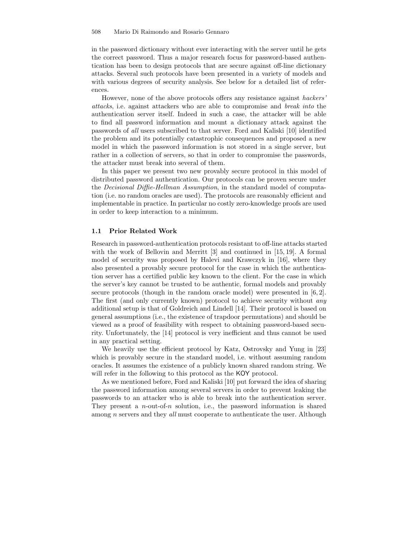in the password dictionary without ever interacting with the server until he gets the correct password. Thus a major research focus for password-based authentication has been to design protocols that are secure against off-line dictionary attacks. Several such protocols have been presented in a variety of models and with various degrees of security analysis. See below for a detailed list of references.

However, none of the above protocols offers any resistance against hackers' attacks, i.e. against attackers who are able to compromise and break into the authentication server itself. Indeed in such a case, the attacker will be able to find all password information and mount a dictionary attack against the passwords of all users subscribed to that server. Ford and Kaliski [10] identified the problem and its potentially catastrophic consequences and proposed a new model in which the password information is not stored in a single server, but rather in a collection of servers, so that in order to compromise the passwords, the attacker must break into several of them.

In this paper we present two new provably secure protocol in this model of distributed password authentication. Our protocols can be proven secure under the Decisional Diffie-Hellman Assumption, in the standard model of computation (i.e. no random oracles are used). The protocols are reasonably efficient and implementable in practice. In particular no costly zero-knowledge proofs are used in order to keep interaction to a minimum.

#### 1.1 Prior Related Work

Research in password-authentication protocols resistant to off-line attacks started with the work of Bellovin and Merritt [3] and continued in [15, 19]. A formal model of security was proposed by Halevi and Krawczyk in [16], where they also presented a provably secure protocol for the case in which the authentication server has a certified public key known to the client. For the case in which the server's key cannot be trusted to be authentic, formal models and provably secure protocols (though in the random oracle model) were presented in [6, 2]. The first (and only currently known) protocol to achieve security without any additional setup is that of Goldreich and Lindell [14]. Their protocol is based on general assumptions (i.e., the existence of trapdoor permutations) and should be viewed as a proof of feasibility with respect to obtaining password-based security. Unfortunately, the [14] protocol is very inefficient and thus cannot be used in any practical setting.

We heavily use the efficient protocol by Katz, Ostrovsky and Yung in [23] which is provably secure in the standard model, i.e. without assuming random oracles. It assumes the existence of a publicly known shared random string. We will refer in the following to this protocol as the KOY protocol.

As we mentioned before, Ford and Kaliski [10] put forward the idea of sharing the password information among several servers in order to prevent leaking the passwords to an attacker who is able to break into the authentication server. They present a  $n$ -out-of-n solution, i.e., the password information is shared among n servers and they all must cooperate to authenticate the user. Although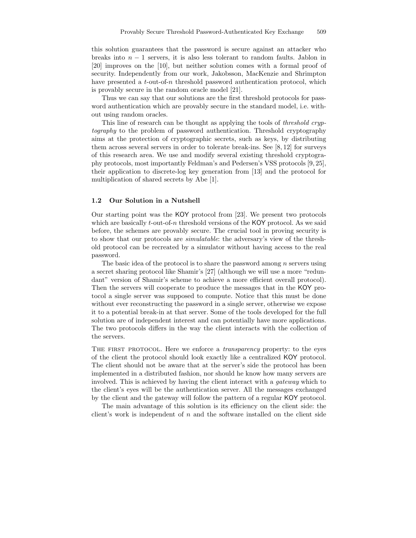this solution guarantees that the password is secure against an attacker who breaks into  $n - 1$  servers, it is also less tolerant to random faults. Jablon in [20] improves on the [10], but neither solution comes with a formal proof of security. Independently from our work, Jakobsson, MacKenzie and Shrimpton have presented a *t*-out-of-n threshold password authentication protocol, which is provably secure in the random oracle model [21].

Thus we can say that our solutions are the first threshold protocols for password authentication which are provably secure in the standard model, i.e. without using random oracles.

This line of research can be thought as applying the tools of threshold cryptography to the problem of password authentication. Threshold cryptography aims at the protection of cryptographic secrets, such as keys, by distributing them across several servers in order to tolerate break-ins. See [8, 12] for surveys of this research area. We use and modify several existing threshold cryptography protocols, most importantly Feldman's and Pedersen's VSS protocols [9, 25], their application to discrete-log key generation from [13] and the protocol for multiplication of shared secrets by Abe [1].

#### 1.2 Our Solution in a Nutshell

Our starting point was the KOY protocol from [23]. We present two protocols which are basically  $t$ -out-of-n threshold versions of the KOY protocol. As we said before, the schemes are provably secure. The crucial tool in proving security is to show that our protocols are simulatable: the adversary's view of the threshold protocol can be recreated by a simulator without having access to the real password.

The basic idea of the protocol is to share the password among  $n$  servers using a secret sharing protocol like Shamir's [27] (although we will use a more "redundant" version of Shamir's scheme to achieve a more efficient overall protocol). Then the servers will cooperate to produce the messages that in the KOY protocol a single server was supposed to compute. Notice that this must be done without ever reconstructing the password in a single server, otherwise we expose it to a potential break-in at that server. Some of the tools developed for the full solution are of independent interest and can potentially have more applications. The two protocols differs in the way the client interacts with the collection of the servers.

THE FIRST PROTOCOL. Here we enforce a *transparency* property: to the eyes of the client the protocol should look exactly like a centralized KOY protocol. The client should not be aware that at the server's side the protocol has been implemented in a distributed fashion, nor should he know how many servers are involved. This is achieved by having the client interact with a gateway which to the client's eyes will be the authentication server. All the messages exchanged by the client and the gateway will follow the pattern of a regular KOY protocol.

The main advantage of this solution is its efficiency on the client side: the client's work is independent of n and the software installed on the client side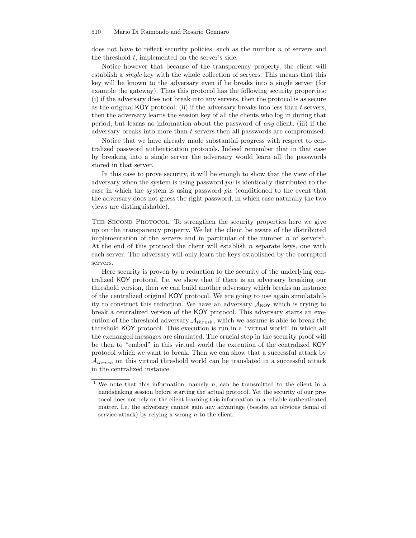does not have to reflect security policies, such as the number  $n$  of servers and the threshold  $t$ , implemented on the server's side.

Notice however that because of the transparency property, the client will establish a single key with the whole collection of servers. This means that this key will be known to the adversary even if he breaks into a single server (for example the gateway). Thus this protocol has the following security properties: (i) if the adversary does not break into any servers, then the protocol is as secure as the original  $KOY$  protocol; (ii) if the adversary breaks into less than t servers, then the adversary learns the session key of all the clients who log in during that period, but learns no information about the password of any client; (iii) if the adversary breaks into more than t servers then all passwords are compromised.

Notice that we have already made substantial progress with respect to centralized password authentication protocols. Indeed remember that in that case by breaking into a single server the adversary would learn all the passwords stored in that server.

In this case to prove security, it will be enough to show that the view of the adversary when the system is using password  $pw$  is identically distributed to the case in which the system is using password  $\hat{pw}$  (conditioned to the event that the adversary does not guess the right password, in which case naturally the two views are distinguishable).

THE SECOND PROTOCOL. To strengthen the security properties here we give up on the transparency property. We let the client be aware of the distributed implementation of the servers and in particular of the number  $n$  of servers<sup>1</sup>. At the end of this protocol the client will establish  $n$  separate keys, one with each server. The adversary will only learn the keys established by the corrupted servers.

Here security is proven by a reduction to the security of the underlying centralized KOY protocol. I.e. we show that if there is an adversary breaking our threshold version, then we can build another adversary which breaks an instance of the centralized original KOY protocol. We are going to use again simulatability to construct this reduction. We have an adversary  $A_{KOY}$  which is trying to break a centralized version of the KOY protocol. This adversary starts an execution of the threshold adversary  $A_{thresh}$ , which we assume is able to break the threshold KOY protocol. This execution is run in a "virtual world" in which all the exchanged messages are simulated. The crucial step in the security proof will be then to "embed" in this virtual world the execution of the centralized KOY protocol which we want to break. Then we can show that a successful attack by  $\mathcal{A}_{thresh}$  on this virtual threshold world can be translated in a successful attack in the centralized instance.

<sup>&</sup>lt;sup>1</sup> We note that this information, namely  $n$ , can be transmitted to the client in a handshaking session before starting the actual protocol. Yet the security of our protocol does not rely on the client learning this information in a reliable authenticated matter. I.e. the adversary cannot gain any advantage (besides an obvious denial of service attack) by relying a wrong  $n$  to the client.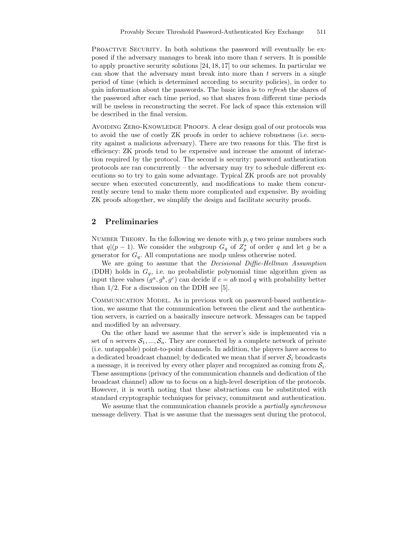PROACTIVE SECURITY. In both solutions the password will eventually be exposed if the adversary manages to break into more than t servers. It is possible to apply proactive security solutions [24, 18, 17] to our schemes. In particular we can show that the adversary must break into more than  $t$  servers in a single period of time (which is determined according to security policies), in order to gain information about the passwords. The basic idea is to refresh the shares of the password after each time period, so that shares from different time periods will be useless in reconstructing the secret. For lack of space this extension will be described in the final version.

AVOIDING ZERO-KNOWLEDGE PROOFS. A clear design goal of our protocols was to avoid the use of costly ZK proofs in order to achieve robustness (i.e. security against a malicious adversary). There are two reasons for this. The first is efficiency: ZK proofs tend to be expensive and increase the amount of interaction required by the protocol. The second is security: password authentication protocols are ran concurrently – the adversary may try to schedule different executions so to try to gain some advantage. Typical ZK proofs are not provably secure when executed concurrently, and modifications to make them concurrently secure tend to make them more complicated and expensive. By avoiding ZK proofs altogether, we simplify the design and facilitate security proofs.

## 2 Preliminaries

NUMBER THEORY. In the following we denote with  $p, q$  two prime numbers such that  $q|(p-1)$ . We consider the subgroup  $G_q$  of  $Z_p^*$  of order q and let g be a generator for  $G_q$ . All computations are modp unless otherwise noted.

We are going to assume that the *Decisional Diffie-Hellman Assumption* (DDH) holds in  $G_q$ , i.e. no probabilistic polynomial time algorithm given as input three values  $(g^a, g^b, g^c)$  can decide if  $c = ab \mod q$  with probability better than  $1/2$ . For a discussion on the DDH see [5].

Communication Model. As in previous work on password-based authentication, we assume that the communication between the client and the authentication servers, is carried on a basically insecure network. Messages can be tapped and modified by an adversary.

On the other hand we assume that the server's side is implemented via a set of n servers  $S_1, ..., S_n$ . They are connected by a complete network of private (i.e. untappable) point-to-point channels. In addition, the players have access to a dedicated broadcast channel; by dedicated we mean that if server  $S_i$  broadcasts a message, it is received by every other player and recognized as coming from  $S_i$ . These assumptions (privacy of the communication channels and dedication of the broadcast channel) allow us to focus on a high-level description of the protocols. However, it is worth noting that these abstractions can be substituted with standard cryptographic techniques for privacy, commitment and authentication.

We assume that the communication channels provide a *partially synchronous* message delivery. That is we assume that the messages sent during the protocol,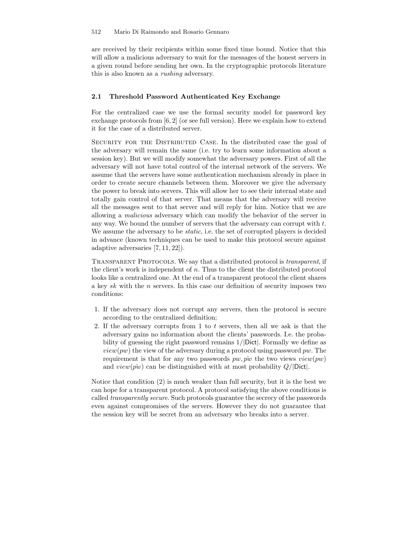are received by their recipients within some fixed time bound. Notice that this will allow a malicious adversary to wait for the messages of the honest servers in a given round before sending her own. In the cryptographic protocols literature this is also known as a rushing adversary.

#### 2.1 Threshold Password Authenticated Key Exchange

For the centralized case we use the formal security model for password key exchange protocols from [6, 2] (or see full version). Here we explain how to extend it for the case of a distributed server.

SECURITY FOR THE DISTRIBUTED CASE. In the distributed case the goal of the adversary will remain the same (i.e. try to learn some information about a session key). But we will modify somewhat the adversary powers. First of all the adversary will not have total control of the internal network of the servers. We assume that the servers have some authentication mechanism already in place in order to create secure channels between them. Moreover we give the adversary the power to break into servers. This will allow her to see their internal state and totally gain control of that server. That means that the adversary will receive all the messages sent to that server and will reply for him. Notice that we are allowing a malicious adversary which can modify the behavior of the server in any way. We bound the number of servers that the adversary can corrupt with t. We assume the adversary to be *static*, i.e. the set of corrupted players is decided in advance (known techniques can be used to make this protocol secure against adaptive adversaries [7, 11, 22]).

Transparent Protocols. We say that a distributed protocol is transparent, if the client's work is independent of  $n$ . Thus to the client the distributed protocol looks like a centralized one. At the end of a transparent protocol the client shares a key sk with the  $n$  servers. In this case our definition of security imposes two conditions:

- 1. If the adversary does not corrupt any servers, then the protocol is secure according to the centralized definition;
- 2. If the adversary corrupts from 1 to t servers, then all we ask is that the adversary gains no information about the clients' passwords. I.e. the probability of guessing the right password remains 1/|Dict|. Formally we define as  $view(pw)$  the view of the adversary during a protocol using password pw. The requirement is that for any two passwords  $pw, \hat{pw}$  the two views  $view(pw)$ and  $view(p\hat{w})$  can be distinguished with at most probability  $Q/|\text{Dict}|$ .

Notice that condition (2) is much weaker than full security, but it is the best we can hope for a transparent protocol. A protocol satisfying the above conditions is called transparently secure. Such protocols guarantee the secrecy of the passwords even against compromises of the servers. However they do not guarantee that the session key will be secret from an adversary who breaks into a server.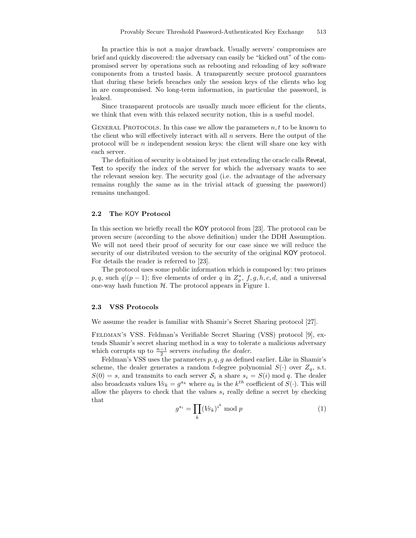In practice this is not a major drawback. Usually servers' compromises are brief and quickly discovered: the adversary can easily be "kicked out" of the compromised server by operations such as rebooting and reloading of key software components from a trusted basis. A transparently secure protocol guarantees that during these briefs breaches only the session keys of the clients who log in are compromised. No long-term information, in particular the password, is leaked.

Since transparent protocols are usually much more efficient for the clients, we think that even with this relaxed security notion, this is a useful model.

GENERAL PROTOCOLS. In this case we allow the parameters  $n, t$  to be known to the client who will effectively interact with all  $n$  servers. Here the output of the protocol will be  $n$  independent session keys: the client will share one key with each server.

The definition of security is obtained by just extending the oracle calls Reveal, Test to specify the index of the server for which the adversary wants to see the relevant session key. The security goal (i.e. the advantage of the adversary remains roughly the same as in the trivial attack of guessing the password) remains unchanged.

#### 2.2 The KOY Protocol

In this section we briefly recall the KOY protocol from [23]. The protocol can be proven secure (according to the above definition) under the DDH Assumption. We will not need their proof of security for our case since we will reduce the security of our distributed version to the security of the original KOY protocol. For details the reader is referred to [23].

The protocol uses some public information which is composed by: two primes p, q, such  $q|(p-1)$ ; five elements of order q in  $Z_p^*$ , f, g, h, c, d, and a universal one-way hash function  $H$ . The protocol appears in Figure 1.

#### 2.3 VSS Protocols

We assume the reader is familiar with Shamir's Secret Sharing protocol [27].

Feldman's VSS. Feldman's Verifiable Secret Sharing (VSS) protocol [9], extends Shamir's secret sharing method in a way to tolerate a malicious adversary which corrupts up to  $\frac{n-1}{2}$  servers including the dealer.

Feldman's VSS uses the parameters  $p, q, g$  as defined earlier. Like in Shamir's scheme, the dealer generates a random t-degree polynomial  $S(\cdot)$  over  $Z_q$ , s.t.  $S(0) = s$ , and transmits to each server  $S_i$  a share  $s_i = S(i) \mod q$ . The dealer also broadcasts values  $V_{s_k} = g^{a_k}$  where  $a_k$  is the  $k^{th}$  coefficient of  $S(\cdot)$ . This will allow the players to check that the values  $s_i$  really define a secret by checking that

$$
g^{s_i} = \prod_k (V_{k})^{i^k} \bmod p \tag{1}
$$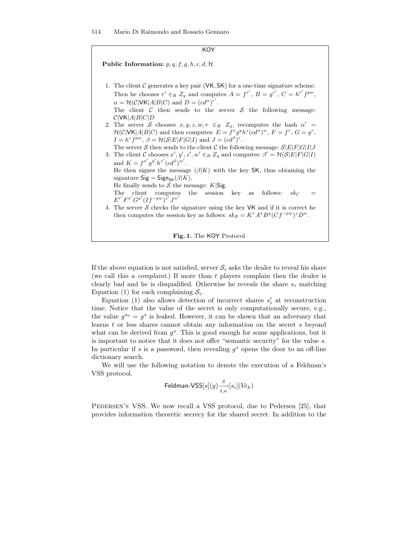

If the above equation is not satisfied, server  $S_i$  asks the dealer to reveal his share (we call this a *complaint*.) If more than  $t$  players complain then the dealer is clearly bad and he is disqualified. Otherwise he reveals the share  $s_i$  matching Equation (1) for each complaining  $S_i$ .

Equation (1) also allows detection of incorrect shares  $s_i'$  at reconstruction time. Notice that the value of the secret is only computationally secure, e.g., the value  $g^{a_0} = g^s$  is leaked. However, it can be shown that an adversary that learns t or less shares cannot obtain any information on the secret s beyond what can be derived from  $g^s$ . This is good enough for some applications, but it is important to notice that it does not offer "semantic security" for the value s. In particular if s is a password, then revealing  $g^s$  opens the door to an off-line dictionary search.

We will use the following notation to denote the execution of a Feldman's VSS protocol.

$$
\mathsf{Feldman\text{-}VSS}[s](g)\frac{s}{t,n}[s_i](V\!S_k)
$$

Pedersen's VSS. We now recall a VSS protocol, due to Pedersen [25], that provides information theoretic secrecy for the shared secret. In addition to the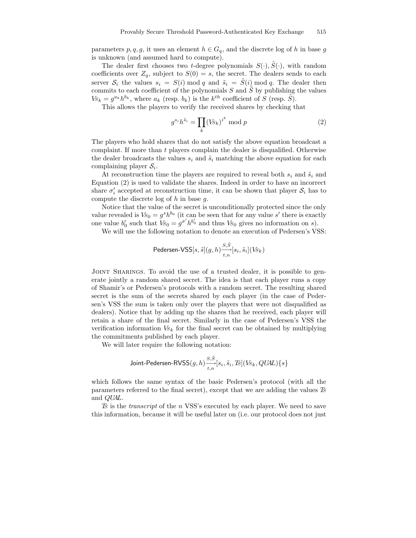parameters p, q, g, it uses an element  $h \in G_q$ , and the discrete log of h in base g is unknown (and assumed hard to compute).

The dealer first chooses two *t*-degree polynomials  $S(\cdot), S(\cdot)$ , with random coefficients over  $Z_q$ , subject to  $S(0) = s$ , the secret. The dealers sends to each server  $S_i$  the values  $s_i = S(i) \mod q$  and  $\tilde{s}_i = \tilde{S}(i) \mod q$ . The dealer then commits to each coefficient of the polynomials S and  $\tilde{S}$  by publishing the values  $V_{s_k} = g^{a_k} h^{b_k}$ , where  $a_k$  (resp.  $b_k$ ) is the  $k^{th}$  coefficient of  $S$  (resp.  $\widetilde{S}$ ).

This allows the players to verify the received shares by checking that

$$
g^{s_i}h^{\tilde{s}_i} = \prod_k (\text{Vs}_k)^{i^k} \text{ mod } p \tag{2}
$$

The players who hold shares that do not satisfy the above equation broadcast a complaint. If more than t players complain the dealer is disqualified. Otherwise the dealer broadcasts the values  $s_i$  and  $\tilde{s}_i$  matching the above equation for each complaining player  $S_i$ .

At reconstruction time the players are required to reveal both  $s_i$  and  $\tilde{s}_i$  and Equation (2) is used to validate the shares. Indeed in order to have an incorrect share  $\sigma'_i$  accepted at reconstruction time, it can be shown that player  $\mathcal{S}_i$  has to compute the discrete log of  $h$  in base  $g$ .

Notice that the value of the secret is unconditionally protected since the only value revealed is  $V_s = g^s h^{b_0}$  (it can be seen that for any value s' there is exactly one value  $b'_0$  such that  $V_{50} = g^{\sigma'} h^{b'_0}$  and thus  $V_{50}$  gives no information on s).

We will use the following notation to denote an execution of Pedersen's VSS:

$$
\text{Pedersen-VSS}[s,\tilde{s}](g,h) \frac{s,\tilde{s}}{t,n}[s_i,\tilde{s}_i](V\!s_k)
$$

JOINT SHARINGS. To avoid the use of a trusted dealer, it is possible to generate jointly a random shared secret. The idea is that each player runs a copy of Shamir's or Pedersen's protocols with a random secret. The resulting shared secret is the sum of the secrets shared by each player (in the case of Pedersen's VSS the sum is taken only over the players that were not disqualified as dealers). Notice that by adding up the shares that he received, each player will retain a share of the final secret. Similarly in the case of Pedersen's VSS the verification information  $V_{S_k}$  for the final secret can be obtained by multiplying the commitments published by each player.

We will later require the following notation:

$$
\textsf{Joint-Pedersen-RVSS}(g,h) \frac{S,\tilde{S}}{t,n}[s_i,\tilde{s}_i,\textit{Ts}](\textit{Vs}_k,QUAL)\{s\}
$$

which follows the same syntax of the basic Pedersen's protocol (with all the parameters referred to the final secret), except that we are adding the values T<sup>S</sup> and QUAL.

 $\overline{B}$  is the *transcript* of the *n* VSS's executed by each player. We need to save this information, because it will be useful later on (i.e. our protocol does not just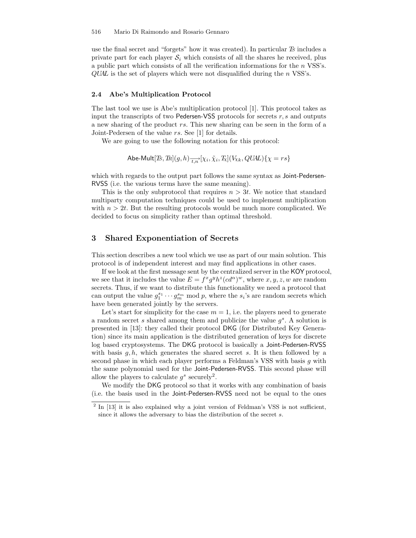use the final secret and "forgets" how it was created). In particular  $T_s$  includes a private part for each player  $S_i$  which consists of all the shares he received, plus a public part which consists of all the verification informations for the n VSS's. QUAL is the set of players which were not disqualified during the n VSS's.

#### 2.4 Abe's Multiplication Protocol

The last tool we use is Abe's multiplication protocol [1]. This protocol takes as input the transcripts of two Pedersen-VSS protocols for secrets  $r, s$  and outputs a new sharing of the product rs. This new sharing can be seen in the form of a Joint-Pedersen of the value rs. See [1] for details.

We are going to use the following notation for this protocol:

$$
\mathsf{Abe\text{-}Mult}[T_{\mathcal{S}},T_{\mathcal{R}}](g,h)_{\overrightarrow{t,n}}[\chi_i,\tilde{\chi}_i,T_{\chi}](V_{\chi_k},QLML)\{\chi=rs\}
$$

which with regards to the output part follows the same syntax as **Joint-Pedersen**-RVSS (i.e. the various terms have the same meaning).

This is the only subprotocol that requires  $n > 3t$ . We notice that standard multiparty computation techniques could be used to implement multiplication with  $n > 2t$ . But the resulting protocols would be much more complicated. We decided to focus on simplicity rather than optimal threshold.

## 3 Shared Exponentiation of Secrets

This section describes a new tool which we use as part of our main solution. This protocol is of independent interest and may find applications in other cases.

If we look at the first message sent by the centralized server in the KOY protocol, we see that it includes the value  $E = f^x g^y h^z (c d^{\alpha})^w$ , where  $x, y, z, w$  are random secrets. Thus, if we want to distribute this functionality we need a protocol that can output the value  $g_1^{s_1} \cdots g_m^{s_m}$  mod p, where the  $s_i$ 's are random secrets which have been generated jointly by the servers.

Let's start for simplicity for the case  $m = 1$ , i.e. the players need to generate a random secret s shared among them and publicize the value  $g^s$ . A solution is presented in [13]: they called their protocol DKG (for Distributed Key Generation) since its main application is the distributed generation of keys for discrete log based cryptosystems. The DKG protocol is basically a Joint-Pedersen-RVSS with basis  $g, h$ , which generates the shared secret s. It is then followed by a second phase in which each player performs a Feldman's VSS with basis  $g$  with the same polynomial used for the Joint-Pedersen-RVSS. This second phase will allow the players to calculate  $g^s$  securely<sup>2</sup>.

We modify the DKG protocol so that it works with any combination of basis (i.e. the basis used in the Joint-Pedersen-RVSS need not be equal to the ones

<sup>&</sup>lt;sup>2</sup> In [13] it is also explained why a joint version of Feldman's VSS is not sufficient, since it allows the adversary to bias the distribution of the secret s.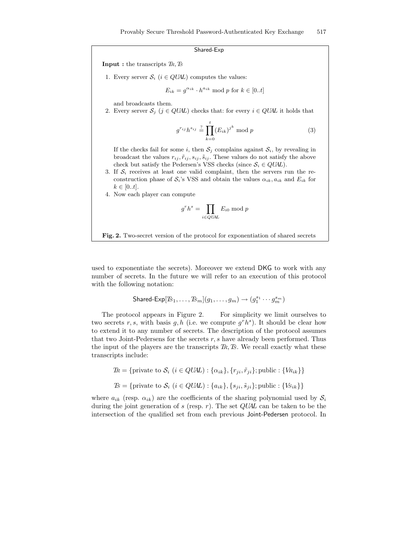Shared-Exp

**Input :** the transcripts  $\mathbb{R}, \mathbb{Z}$ 

1. Every server  $S_i$  ( $i \in QUAL$ ) computes the values:

$$
E_{ik} = g^{\alpha_{ik}} \cdot h^{a_{ik}} \mod p \text{ for } k \in [0..t]
$$

and broadcasts them.

2. Every server  $S_j$  ( $j \in QUAL$ ) checks that: for every  $i \in QUAL$  it holds that

$$
g^{r_{ij}}h^{s_{ij}} \stackrel{?}{=} \prod_{k=0}^{t} (E_{ik})^{j^k} \bmod p
$$
 (3)

If the checks fail for some i, then  $S_j$  complains against  $S_i$ , by revealing in broadcast the values  $r_{ij}, \tilde{r}_{ij}, s_{ij}, \tilde{s}_{ij}$ . These values do not satisfy the above check but satisfy the Pedersen's VSS checks (since  $S_i \in QUAL$ ).

- 3. If  $S_i$  receives at least one valid complaint, then the servers run the reconstruction phase of  $S_i$ 's VSS and obtain the values  $\alpha_{ik}$ ,  $a_{ik}$  and  $E_{ik}$  for  $k \in [0..t]$ .
- 4. Now each player can compute

$$
g^r h^s = \prod_{i \in QUAL} E_{i0} \bmod p
$$

Fig. 2. Two-secret version of the protocol for exponentiation of shared secrets

used to exponentiate the secrets). Moreover we extend DKG to work with any number of secrets. In the future we will refer to an execution of this protocol with the following notation:

$$
\mathsf{Shared}\text{-}\mathsf{Exp}[{\mathcal{I}} s_1,\ldots,{\mathcal{I}} s_m](g_1,\ldots,g_m)\to (g_1^{s_1}\cdots g_m^{s_m})
$$

The protocol appears in Figure 2. For simplicity we limit ourselves to two secrets r, s, with basis g, h (i.e. we compute  $g^rh^s$ ). It should be clear how to extend it to any number of secrets. The description of the protocol assumes that two Joint-Pedersens for the secrets  $r, s$  have already been performed. Thus the input of the players are the transcripts  $\mathbb{R}, \mathbb{Z}$ . We recall exactly what these transcripts include:

 $T_R = \{$ private to  $\mathcal{S}_i \ (i \in QUAL) : \{\alpha_{ik}\}, \{r_{ji}, \tilde{r}_{ji}\};$ public :  $\{V_{Rik}\}\}\$  $\mathcal{I}S = \{\text{private to } \mathcal{S}_i \ (i \in QUAL) : \{a_{ik}\}, \{s_{ji}, \tilde{s}_{ji}\}; \text{public} : \{V_{iik}\}\}\$ 

where  $a_{ik}$  (resp.  $\alpha_{ik}$ ) are the coefficients of the sharing polynomial used by  $S_i$ during the joint generation of  $s$  (resp.  $r$ ). The set  $QUAL$  can be taken to be the intersection of the qualified set from each previous Joint-Pedersen protocol. In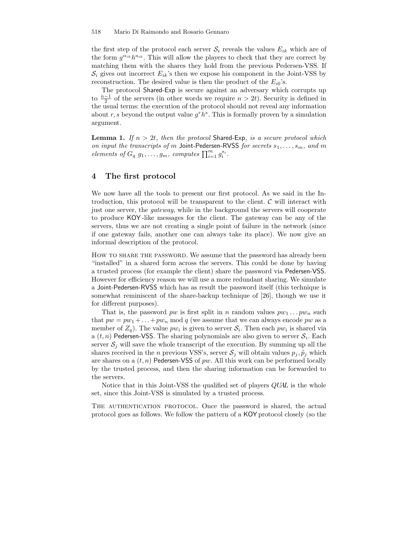the first step of the protocol each server  $S_i$  reveals the values  $E_{ik}$  which are of the form  $g^{\alpha_{ik}}h^{a_{ik}}$ . This will allow the players to check that they are correct by matching them with the shares they hold from the previous Pedersen-VSS. If  $\mathcal{S}_i$  gives out incorrect  $E_{ik}$ 's then we expose his component in the Joint-VSS by reconstruction. The desired value is then the product of the  $E_{i0}$ 's.

The protocol Shared-Exp is secure against an adversary which corrupts up to  $\frac{n-1}{2}$  of the servers (in other words we require  $n > 2t$ ). Security is defined in the usual terms: the execution of the protocol should not reveal any information about r, s beyond the output value  $g^r h^s$ . This is formally proven by a simulation argument.

**Lemma 1.** If  $n > 2t$ , then the protocol Shared-Exp, is a secure protocol which on input the transcripts of m Joint-Pedersen-RVSS for secrets  $s_1, \ldots, s_m$ , and m elements of  $G_q$   $g_1, \ldots, g_m$ , computes  $\prod_{i=1}^m g_i^{s_i}$ .

## 4 The first protocol

We now have all the tools to present our first protocol. As we said in the Introduction, this protocol will be transparent to the client.  $C$  will interact with just one server, the *gateway*, while in the background the servers will cooperate to produce KOY -like messages for the client. The gateway can be any of the servers, thus we are not creating a single point of failure in the network (since if one gateway fails, another one can always take its place). We now give an informal description of the protocol.

How to share the password. We assume that the password has already been "installed" in a shared form across the servers. This could be done by having a trusted process (for example the client) share the password via Pedersen-VSS. However for efficiency reason we will use a more redundant sharing. We simulate a Joint-Pedersen-RVSS which has as result the password itself (this technique is somewhat reminiscent of the share-backup technique of [26], though we use it for different purposes).

That is, the password pw is first split in n random values  $pw_1 \ldots pw_n$  such that  $pw = pw_1 + \ldots + pw_n \mod q$  (we assume that we can always encode pw as a member of  $Z_q$ ). The value  $pw_i$  is given to server  $S_i$ . Then each  $pw_i$  is shared via a  $(t, n)$  Pedersen-VSS. The sharing polynomials are also given to server  $\mathcal{S}_i$ . Each server  $S_i$  will save the whole transcript of the execution. By summing up all the shares received in the *n* previous VSS's, server  $S_i$  will obtain values  $p_i, \tilde{p}_i$  which are shares on a  $(t, n)$  Pedersen-VSS of  $pw$ . All this work can be performed locally by the trusted process, and then the sharing information can be forwarded to the servers.

Notice that in this Joint-VSS the qualified set of players *QUAL* is the whole set, since this Joint-VSS is simulated by a trusted process.

The authentication protocol. Once the password is shared, the actual protocol goes as follows. We follow the pattern of a KOYprotocol closely (so the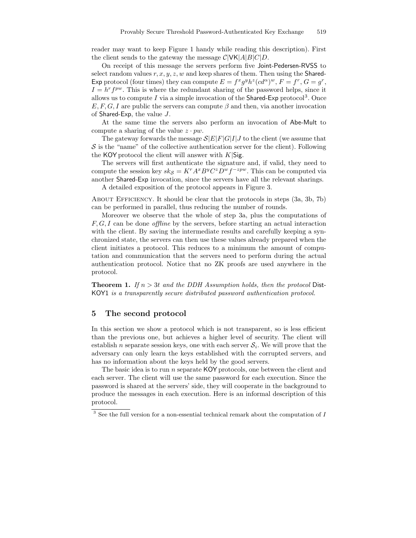reader may want to keep Figure 1 handy while reading this description). First the client sends to the gateway the message  $\mathcal{C}|\mathsf{VK}|A|B|C|D$ .

On receipt of this message the servers perform five Joint-Pedersen-RVSS to select random values  $r, x, y, z, w$  and keep shares of them. Then using the **Shared-**Exp protocol (four times) they can compute  $E = f^x g^y h^z (c d^{\alpha})^w$ ,  $F = f^r$ ,  $G = g^r$ ,  $I = h^r f^{pw}$ . This is where the redundant sharing of the password helps, since it allows us to compute I via a simple invocation of the Shared-Exp protocol<sup>3</sup>. Once  $E, F, G, I$  are public the servers can compute  $\beta$  and then, via another invocation of Shared-Exp, the value  $J$ .

At the same time the servers also perform an invocation of Abe-Mult to compute a sharing of the value  $z \cdot pw$ .

The gateway forwards the message  $S|E|F|G|I|J$  to the client (we assume that  $\mathcal S$  is the "name" of the collective authentication server for the client). Following the KOY protocol the client will answer with  $K|Sig$ .

The servers will first authenticate the signature and, if valid, they need to compute the session key  $sk_{\mathcal{S}} = K^{r} A^{x} B^{y} C^{z} D^{w} f^{-zpw}$ . This can be computed via another Shared-Exp invocation, since the servers have all the relevant sharings.

A detailed exposition of the protocol appears in Figure 3.

About Efficiency. It should be clear that the protocols in steps (3a, 3b, 7b) can be performed in parallel, thus reducing the number of rounds.

Moreover we observe that the whole of step 3a, plus the computations of  $F, G, I$  can be done *offline* by the servers, before starting an actual interaction with the client. By saving the intermediate results and carefully keeping a synchronized state, the servers can then use these values already prepared when the client initiates a protocol. This reduces to a minimum the amount of computation and communication that the servers need to perform during the actual authentication protocol. Notice that no ZK proofs are used anywhere in the protocol.

**Theorem 1.** If  $n > 3t$  and the DDH Assumption holds, then the protocol Dist-KOY1 is a transparently secure distributed password authentication protocol.

### 5 The second protocol

In this section we show a protocol which is not transparent, so is less efficient than the previous one, but achieves a higher level of security. The client will establish *n* separate session keys, one with each server  $S_i$ . We will prove that the adversary can only learn the keys established with the corrupted servers, and has no information about the keys held by the good servers.

The basic idea is to run  $n$  separate KOY protocols, one between the client and each server. The client will use the same password for each execution. Since the password is shared at the servers' side, they will cooperate in the background to produce the messages in each execution. Here is an informal description of this protocol.

 $3$  See the full version for a non-essential technical remark about the computation of  $I$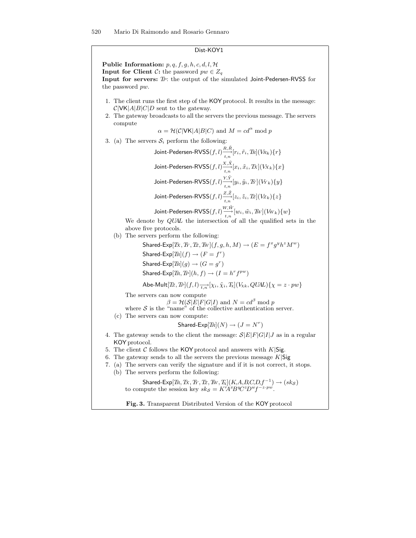Dist-KOY1 Public Information:  $p, q, f, g, h, c, d, l, H$ **Input for Client**  $\mathcal{C}$ : the password  $pw \in Z_q$ Input for servers: The output of the simulated Joint-Pedersen-RVSS for the password pw. 1. The client runs the first step of the KOY protocol. It results in the message:  $\mathcal{C}|VK|A|B|C|D$  sent to the gateway. 2. The gateway broadcasts to all the servers the previous message. The servers compute  $\alpha = \mathcal{H}(\mathcal{C}|\mathsf{VK}|A|B|C)$  and  $M = cd^{\alpha} \mod p$ 3. (a) The servers  $S_i$  perform the following: Joint-Pedersen-RVSS $(f, l) \frac{R, \tilde{R}}{t,n}[r_i, \tilde{r}_i, \textit{TR}](V\!\textit{R}_k)\{r\}$ Joint-Pedersen-RVSS $(f, l) \frac{X, \tilde{X}}{t,n}[x_i, \tilde{x}_i, \mathcal{I} X](V\!X_k)\{x\}$  $\mathsf{Joint}\text{-}\mathsf{Pedersen}\text{-}\mathsf{RVSS}(f,l) \frac{Y, \tilde{Y}}{t,n}[y_i,\tilde{y}_i,\overline{R}](\overline{W}_k)\{y\}$  ${\sf Joint-Pedersen-RVSS}(f,l) \frac{Z,\tilde{Z}}{t,n}[z_i,\tilde{z}_i,T\!Z](V\!Z_k)\{z\}$  ${\sf Joint-Pedersen-RVSS}(f,l) \frac{w,\tilde{w}}{t,n}[w_i,\tilde{w}_i,\mathcal{I}\!\bar{w}](W\!k})\{w\}$ We denote by *QUAL* the intersection of all the qualified sets in the above five protocols. (b) The servers perform the following: Shared-Exp $[X, T_Y, T_Z, Tw](f, g, h, M) \rightarrow (E = f^x g^y h^z M^w)$ Shared-Exp $[TR](f) \rightarrow (F = f^r)$ Shared-Exp $[TR](g) \rightarrow (G = g^r)$ Shared-Exp $[TR, T<sup>p</sup>](h, f) \rightarrow (I = h<sup>r</sup> f<sup>pw</sup>)$ Abe-Mult $[T_{Z},T_{P}](f, l)$ <sub>t,n</sub> $[\chi_{i}, \tilde{\chi}_{i}, T_{X}](V_{Xk}, QUAL)\{\chi = z \cdot pw\}$ The servers can now compute  $\beta = \mathcal{H}(\mathcal{S}|E|F|G|I)$  and  $N = cd^\beta \bmod p$ where  $S$  is the "name" of the collective authentication server. (c) The servers can now compute: Shared-Exp $[TR](N) \rightarrow (J = N^r)$ 4. The gateway sends to the client the message:  $S|E|F|G|I|J$  as in a regular KOY protocol. 5. The client C follows the KOY protocol and answers with  $K|\text{Sig.}$ 6. The gateway sends to all the servers the previous message  $K|\text{Sig}$ 7. (a) The servers can verify the signature and if it is not correct, it stops. (b) The servers perform the following: Shared-Exp[TR, Tx, Tr, Tz, Tw, T<sub>x</sub>](K,A,B,C,D, $f^{-1}$ )  $\rightarrow$  (sks) to compute the session key  $sk_S = K^r A^x B^y C^z D^y f^{-z \cdot p w}$ . Fig. 3. Transparent Distributed Version of the KOY protocol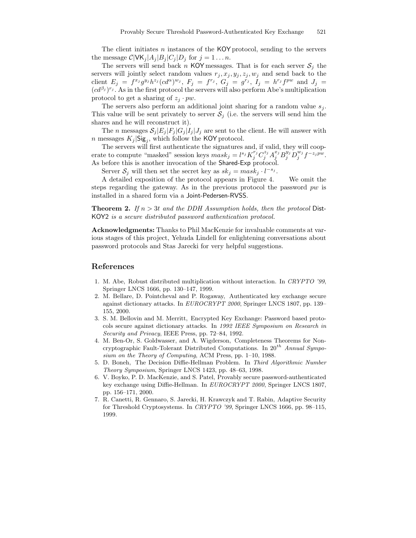The client initiates n instances of the KOY protocol, sending to the servers the message  $\mathcal{C}|\mathsf{VK}_j|A_j|B_j|C_j|D_j$  for  $j = 1 \ldots n$ .

The servers will send back n KOY messages. That is for each server  $S_i$  the servers will jointly select random values  $r_j, x_j, y_j, z_j, w_j$  and send back to the client  $E_j = f^{x_j} g^{y_j} h^{z_j} (c d^{\alpha})^{w_j}, F_j = f^{r_j}, G_j = g^{r_j}, I_j = h^{r_j} f^{pw}$  and  $J_j =$  $(cd^{\beta_j})^{r_j}$ . As in the first protocol the servers will also perform Abe's multiplication protocol to get a sharing of  $z_i \cdot pw$ .

The servers also perform an additional joint sharing for a random value  $s_i$ . This value will be sent privately to server  $S_j$  (i.e. the servers will send him the shares and he will reconstruct it).

The n messages  $S_j |E_j| F_j |G_j| I_j |J_j$  are sent to the client. He will answer with *n* messages  $K_j$  |Sig<sub>j</sub>, which follow the KOY protocol.

The servers will first authenticate the signatures and, if valid, they will cooperate to compute "masked" session keys  $\text{mask}_j = l^{s_j} K_j^{r_j} C_j^{z_j} A_j^{x_j} B_j^{y_j} D_j^{w_j} f^{-z_j p w}$ . As before this is another invocation of the Shared-Exp protocol.

Server  $S_j$  will then set the secret key as  $sk_j = mask_j \cdot l^{-s_j}$ .

A detailed exposition of the protocol appears in Figure 4. We omit the steps regarding the gateway. As in the previous protocol the password  $pw$  is installed in a shared form via a Joint-Pedersen-RVSS.

**Theorem 2.** If  $n > 3t$  and the DDH Assumption holds, then the protocol Dist-KOY2 is a secure distributed password authentication protocol.

Acknowledgments: Thanks to Phil MacKenzie for invaluable comments at various stages of this project, Yehuda Lindell for enlightening conversations about password protocols and Stas Jarecki for very helpful suggestions.

## References

- 1. M. Abe, Robust distributed multiplication without interaction. In CRYPTO '99, Springer LNCS 1666, pp. 130–147, 1999.
- 2. M. Bellare, D. Pointcheval and P. Rogaway, Authenticated key exchange secure against dictionary attacks. In EUROCRYPT 2000, Springer LNCS 1807, pp. 139– 155, 2000.
- 3. S. M. Bellovin and M. Merritt, Encrypted Key Exchange: Password based protocols secure against dictionary attacks. In 1992 IEEE Symposium on Research in Security and Privacy, IEEE Press, pp. 72–84, 1992.
- 4. M. Ben-Or, S. Goldwasser, and A. Wigderson, Completeness Theorems for Noncryptographic Fault-Tolerant Distributed Computations. In  $20^{th}$  Annual Symposium on the Theory of Computing, ACM Press, pp. 1–10, 1988.
- 5. D. Boneh, The Decision Diffie-Hellman Problem. In Third Algorithmic Number Theory Symposium, Springer LNCS 1423, pp. 48–63, 1998.
- 6. V. Boyko, P. D. MacKenzie, and S. Patel, Provably secure password-authenticated key exchange using Diffie-Hellman. In EUROCRYPT 2000, Springer LNCS 1807, pp. 156–171, 2000.
- 7. R. Canetti, R. Gennaro, S. Jarecki, H. Krawczyk and T. Rabin, Adaptive Security for Threshold Cryptosystems. In CRYPTO '99, Springer LNCS 1666, pp. 98–115, 1999.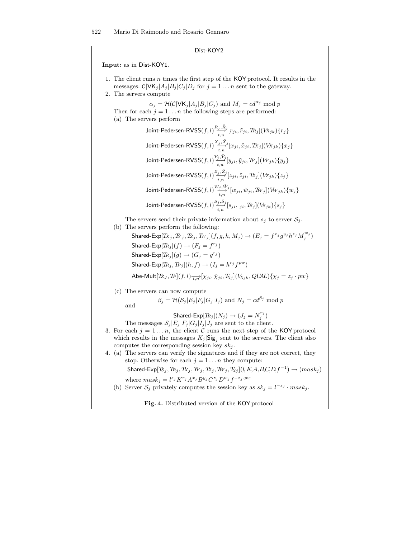Dist-KOY2 Input: as in Dist-KOY1. 1. The client runs  $n$  times the first step of the KOY protocol. It results in the messages:  $C|\mathsf{VK}_j|A_j|B_j|C_j|D_j$  for  $j = 1...n$  sent to the gateway. 2. The servers compute  $\alpha_j = \mathcal{H}(\mathcal{C}|\mathsf{VK}_j|A_j|B_j|C_j)$  and  $M_j = cd^{\alpha_j} \text{ mod } p$ Then for each  $j = 1 \dots n$  the following steps are performed: (a) The servers perform Joint-Pedersen-RVSS $(f, l) \frac{R_j, \tilde{R}_j}{t,n}[r_{ji}, \tilde{r}_{ji}, \mathit{\mathit{R}}_j](V\!R_{jk})\{r_j\}$  ${\sf Joint-Pedersen-RVSS}(f,l) \frac{X_j,\tilde{X}_j}{t,n}[x_{ji},\tilde{x}_{ji},\textcolor{red}{\mathbf{T}_{Xj}}](V\!X_{jk})\{x_j\}$  ${\sf Joint-Pedersen-RVSS}(f,l) \frac{Y_j,\tilde{Y}_j}{t,n} [y_{ji},\tilde{y}_{ji},\mathcal{R}_j](W_{jk})\{y_j\}$  ${\sf Joint-Pedersen-RVSS}(f,l) \frac{Z_j,\tilde Z_j}{t,n}[z_{ji},\tilde z_{ji},I\!\!Z_j](V\!\!Z_{jk})\{z_j\}$  ${\sf Joint-Pedersen-RVSS}(f,l) \frac{w_j,\tilde{w}_j}{t,n}[w_{ji},\tilde{w}_{ji},\mathcal{I}\!w_j](W_{jk})\{w_j\}$  ${\sf Joint-Pedersen-RVSS}(f,l){{S_j,\tilde{S}_j}\over{t,n}}[s_{ji},\,_{ji},T\!S_j](V\!S_{jk})\{s_j\}$ The servers send their private information about  $s_j$  to server  $S_j$ . (b) The servers perform the following: Shared-Exp $[\overline{R}_j, \overline{R}_j, \overline{R}_j, \overline{R}_{ij}](f, g, h, M_j) \rightarrow (E_j = f^{x_j}g^{y_j}h^{z_j}M_j^{w_j})$ Shared-Exp $[R_j](f) \rightarrow (F_j = f^{r_j})$ Shared-Exp $[R_j](g) \rightarrow (G_j = g^{r_j})$ Shared-Exp $[R_j, T_{\mathcal{P}_j}](h, f) \rightarrow (I_j = h^{r_j} f^{pw})$ Abe-Mult $[T_{Z_J},T_P](f,l)_{\overrightarrow{t,n}}[\chi_{ji},\tilde{\chi}_{ji},T_{X_j}](V_{Xjk},QUAL)\{\chi_j=z_j\cdot pw\}$ (c) The servers can now compute  $\beta_j = \mathcal{H}(\mathcal{S}_j | E_j | F_j | G_j | I_j)$  and  $N_j = cd^{\beta_j}$  mod p and  $\mathsf{Shared\text{-}Exp}[\textit{Tk}_j](N_j) \rightarrow (J_j = N_j^{r_j})$ The messages  $S_j |E_j| F_j |G_j| I_j |J_j$  are sent to the client. 3. For each  $j = 1 \ldots n$ , the client C runs the next step of the KOY protocol which results in the messages  $K_j | \mathsf{Sig}_j \rangle$  sent to the servers. The client also computes the corresponding session key  $sk_i$ . 4. (a) The servers can verify the signatures and if they are not correct, they stop. Otherwise for each  $j = 1 \dots n$  they compute: Shared-Exp $[T_{S_j}, T_{R_j}, T_{X_j}, T_{Y_j}, T_{Z_j}, T_{W_j}, T_{X_j}](k, K, A, B, C, D, f^{-1}) \rightarrow (mask_j)$ where  $mask_j = l^{s_j} K^{r_j} A^{x_j} B^{y_j} C^{z_j} D^{w_j} f^{-z_j \cdot pw}$ (b) Server  $S_j$  privately computes the session key as  $sk_j = l^{-s_j} \cdot mask_j$ . Fig. 4. Distributed version of the KOYprotocol